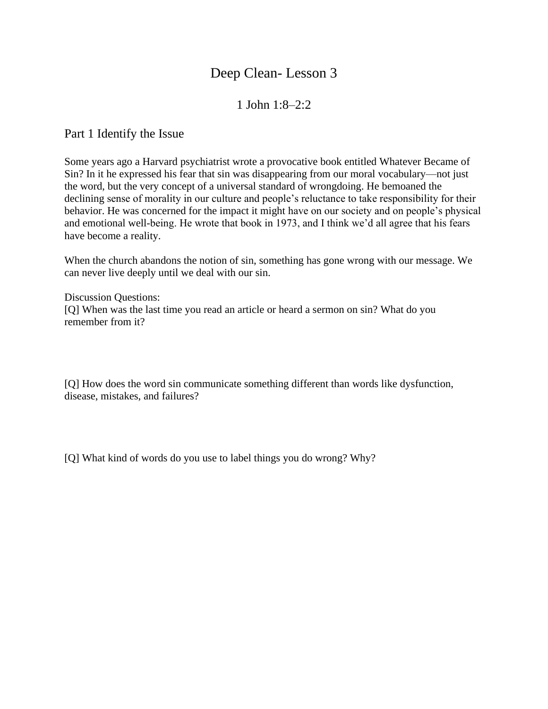## Deep Clean- Lesson 3

## 1 John 1:8–2:2

Part 1 Identify the Issue

Some years ago a Harvard psychiatrist wrote a provocative book entitled Whatever Became of Sin? In it he expressed his fear that sin was disappearing from our moral vocabulary—not just the word, but the very concept of a universal standard of wrongdoing. He bemoaned the declining sense of morality in our culture and people's reluctance to take responsibility for their behavior. He was concerned for the impact it might have on our society and on people's physical and emotional well-being. He wrote that book in 1973, and I think we'd all agree that his fears have become a reality.

When the church abandons the notion of sin, something has gone wrong with our message. We can never live deeply until we deal with our sin.

Discussion Questions: [Q] When was the last time you read an article or heard a sermon on sin? What do you remember from it?

[Q] How does the word sin communicate something different than words like dysfunction, disease, mistakes, and failures?

[Q] What kind of words do you use to label things you do wrong? Why?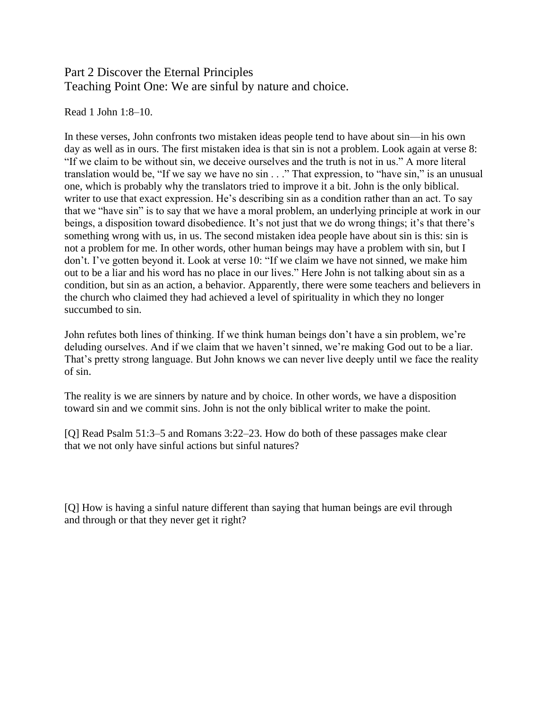## Part 2 Discover the Eternal Principles Teaching Point One: We are sinful by nature and choice.

Read 1 John 1:8–10.

In these verses, John confronts two mistaken ideas people tend to have about sin—in his own day as well as in ours. The first mistaken idea is that sin is not a problem. Look again at verse 8: "If we claim to be without sin, we deceive ourselves and the truth is not in us." A more literal translation would be, "If we say we have no sin . . ." That expression, to "have sin," is an unusual one, which is probably why the translators tried to improve it a bit. John is the only biblical. writer to use that exact expression. He's describing sin as a condition rather than an act. To say that we "have sin" is to say that we have a moral problem, an underlying principle at work in our beings, a disposition toward disobedience. It's not just that we do wrong things; it's that there's something wrong with us, in us. The second mistaken idea people have about sin is this: sin is not a problem for me. In other words, other human beings may have a problem with sin, but I don't. I've gotten beyond it. Look at verse 10: "If we claim we have not sinned, we make him out to be a liar and his word has no place in our lives." Here John is not talking about sin as a condition, but sin as an action, a behavior. Apparently, there were some teachers and believers in the church who claimed they had achieved a level of spirituality in which they no longer succumbed to sin.

John refutes both lines of thinking. If we think human beings don't have a sin problem, we're deluding ourselves. And if we claim that we haven't sinned, we're making God out to be a liar. That's pretty strong language. But John knows we can never live deeply until we face the reality of sin.

The reality is we are sinners by nature and by choice. In other words, we have a disposition toward sin and we commit sins. John is not the only biblical writer to make the point.

[Q] Read Psalm 51:3–5 and Romans 3:22–23. How do both of these passages make clear that we not only have sinful actions but sinful natures?

[Q] How is having a sinful nature different than saying that human beings are evil through and through or that they never get it right?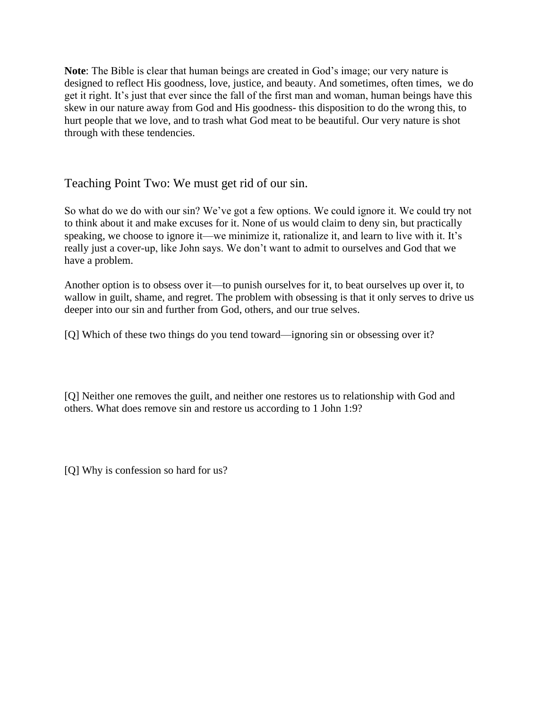**Note**: The Bible is clear that human beings are created in God's image; our very nature is designed to reflect His goodness, love, justice, and beauty. And sometimes, often times, we do get it right. It's just that ever since the fall of the first man and woman, human beings have this skew in our nature away from God and His goodness- this disposition to do the wrong this, to hurt people that we love, and to trash what God meat to be beautiful. Our very nature is shot through with these tendencies.

Teaching Point Two: We must get rid of our sin.

So what do we do with our sin? We've got a few options. We could ignore it. We could try not to think about it and make excuses for it. None of us would claim to deny sin, but practically speaking, we choose to ignore it—we minimize it, rationalize it, and learn to live with it. It's really just a cover-up, like John says. We don't want to admit to ourselves and God that we have a problem.

Another option is to obsess over it—to punish ourselves for it, to beat ourselves up over it, to wallow in guilt, shame, and regret. The problem with obsessing is that it only serves to drive us deeper into our sin and further from God, others, and our true selves.

[Q] Which of these two things do you tend toward—ignoring sin or obsessing over it?

[Q] Neither one removes the guilt, and neither one restores us to relationship with God and others. What does remove sin and restore us according to 1 John 1:9?

[Q] Why is confession so hard for us?